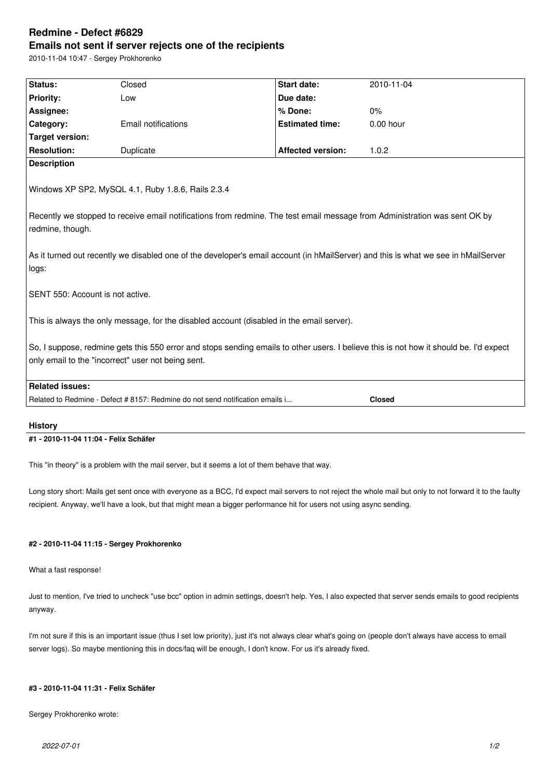# **Redmine - Defect #6829 Emails not sent if server rejects one of the recipients**

2010-11-04 10:47 - Sergey Prokhorenko

| Status:                                                                                                                                | Closed                                                                                         | <b>Start date:</b>       | 2010-11-04  |  |
|----------------------------------------------------------------------------------------------------------------------------------------|------------------------------------------------------------------------------------------------|--------------------------|-------------|--|
| <b>Priority:</b>                                                                                                                       | Low                                                                                            | Due date:                |             |  |
| Assignee:                                                                                                                              |                                                                                                | % Done:                  | 0%          |  |
| Category:                                                                                                                              | <b>Email notifications</b>                                                                     | <b>Estimated time:</b>   | $0.00$ hour |  |
| <b>Target version:</b>                                                                                                                 |                                                                                                |                          |             |  |
| <b>Resolution:</b>                                                                                                                     | Duplicate                                                                                      | <b>Affected version:</b> | 1.0.2       |  |
| <b>Description</b>                                                                                                                     |                                                                                                |                          |             |  |
| Windows XP SP2, MySQL 4.1, Ruby 1.8.6, Rails 2.3.4                                                                                     |                                                                                                |                          |             |  |
| Recently we stopped to receive email notifications from redmine. The test email message from Administration was sent OK by             |                                                                                                |                          |             |  |
| redmine, though.                                                                                                                       |                                                                                                |                          |             |  |
|                                                                                                                                        |                                                                                                |                          |             |  |
| As it turned out recently we disabled one of the developer's email account (in hMailServer) and this is what we see in hMailServer     |                                                                                                |                          |             |  |
| logs:                                                                                                                                  |                                                                                                |                          |             |  |
|                                                                                                                                        |                                                                                                |                          |             |  |
| SENT 550: Account is not active.                                                                                                       |                                                                                                |                          |             |  |
|                                                                                                                                        |                                                                                                |                          |             |  |
| This is always the only message, for the disabled account (disabled in the email server).                                              |                                                                                                |                          |             |  |
|                                                                                                                                        |                                                                                                |                          |             |  |
| So, I suppose, redmine gets this 550 error and stops sending emails to other users. I believe this is not how it should be. I'd expect |                                                                                                |                          |             |  |
| only email to the "incorrect" user not being sent.                                                                                     |                                                                                                |                          |             |  |
|                                                                                                                                        |                                                                                                |                          |             |  |
| <b>Related issues:</b>                                                                                                                 |                                                                                                |                          |             |  |
|                                                                                                                                        | Related to Redmine - Defect # 8157: Redmine do not send notification emails i<br><b>Closed</b> |                          |             |  |

## **History**

## **#1 - 2010-11-04 11:04 - Felix Schäfer**

This "in theory" is a problem with the mail server, but it seems a lot of them behave that way.

Long story short: Mails get sent once with everyone as a BCC, I'd expect mail servers to not reject the whole mail but only to not forward it to the faulty recipient. Anyway, we'll have a look, but that might mean a bigger performance hit for users not using async sending.

## **#2 - 2010-11-04 11:15 - Sergey Prokhorenko**

What a fast response!

Just to mention, I've tried to uncheck "use bcc" option in admin settings, doesn't help. Yes, I also expected that server sends emails to good recipients anyway.

I'm not sure if this is an important issue (thus I set low priority), just it's not always clear what's going on (people don't always have access to email server logs). So maybe mentioning this in docs/faq will be enough, I don't know. For us it's already fixed.

#### **#3 - 2010-11-04 11:31 - Felix Schäfer**

Sergey Prokhorenko wrote: